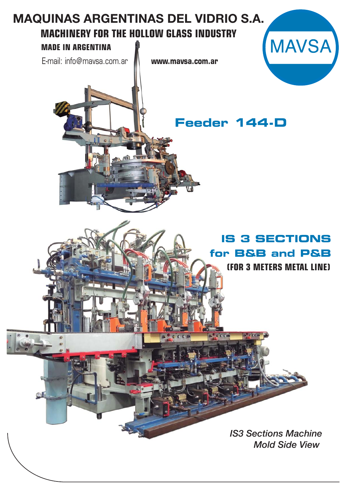